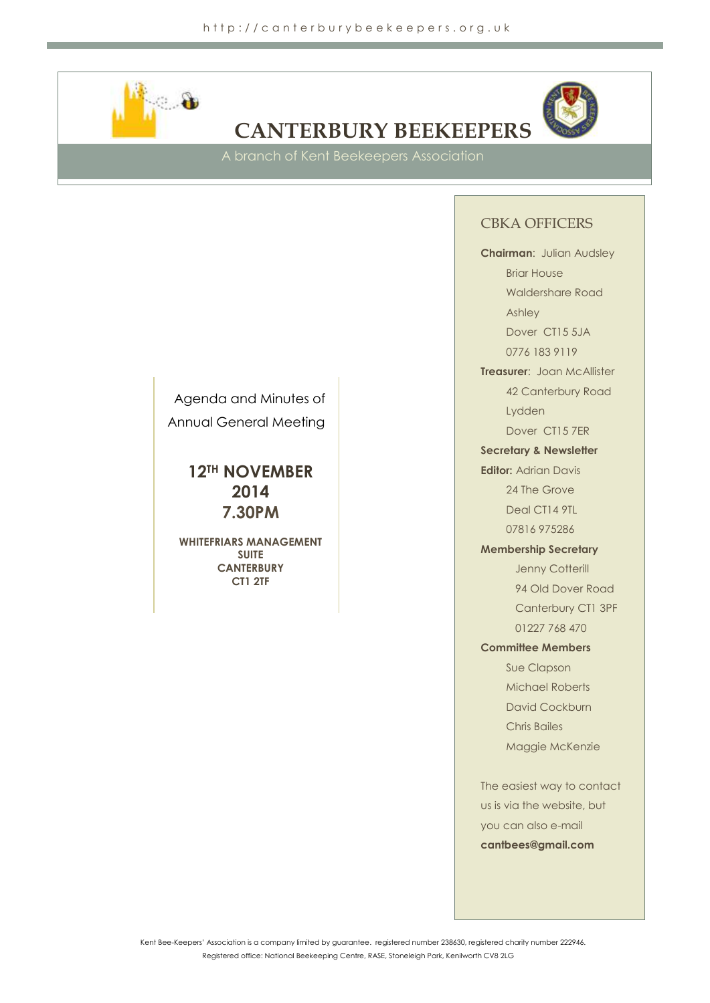

# **CANTERBURY BEEKEEPERS**



A branch of Kent Beekeepers Association

## CBKA OFFICERS

**Chairman**: Julian Audsley

Briar House Waldershare Road Ashley Dover CT15 5JA

0776 183 9119

**Treasurer**: Joan McAllister 42 Canterbury Road Lydden

Dover CT15 7ER

**Secretary & Newsletter** 

**Editor:** Adrian Davis 24 The Grove Deal CT14 9TL

07816 975286

**Membership Secretary**

Jenny Cotterill 94 Old Dover Road Canterbury CT1 3PF 01227 768 470

**Committee Members**

Sue Clapson Michael Roberts David Cockburn Chris Bailes Maggie McKenzie

The easiest way to contact us is via the website, but you can also e-mail **cantbees@gmail.com**

Agenda and Minutes of Annual General Meeting

> **12TH NOVEMBER 2014 7.30PM**

**WHITEFRIARS MANAGEMENT SUITE CANTERBURY CT1 2TF**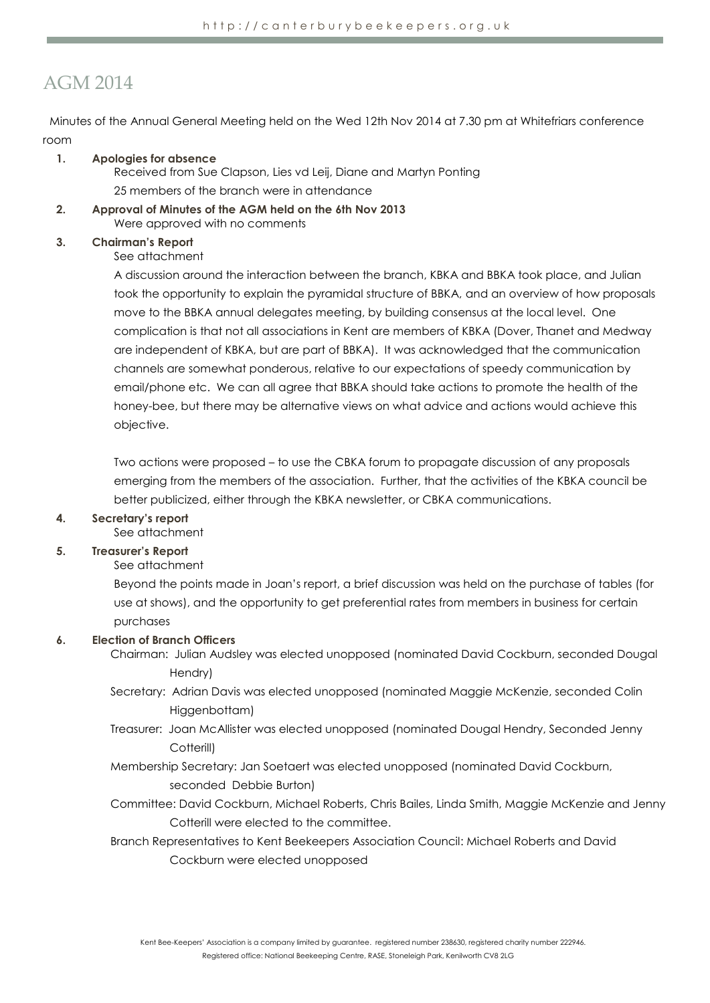## AGM 2014

Minutes of the Annual General Meeting held on the Wed 12th Nov 2014 at 7.30 pm at Whitefriars conference room

## **1. Apologies for absence**

Received from Sue Clapson, Lies vd Leij, Diane and Martyn Ponting 25 members of the branch were in attendance

**2. Approval of Minutes of the AGM held on the 6th Nov 2013** Were approved with no comments

## **3. Chairman's Report**

## See attachment

A discussion around the interaction between the branch, KBKA and BBKA took place, and Julian took the opportunity to explain the pyramidal structure of BBKA, and an overview of how proposals move to the BBKA annual delegates meeting, by building consensus at the local level. One complication is that not all associations in Kent are members of KBKA (Dover, Thanet and Medway are independent of KBKA, but are part of BBKA). It was acknowledged that the communication channels are somewhat ponderous, relative to our expectations of speedy communication by email/phone etc. We can all agree that BBKA should take actions to promote the health of the honey-bee, but there may be alternative views on what advice and actions would achieve this objective.

Two actions were proposed – to use the CBKA forum to propagate discussion of any proposals emerging from the members of the association. Further, that the activities of the KBKA council be better publicized, either through the KBKA newsletter, or CBKA communications.

## **4. Secretary's report**

See attachment

## **5. Treasurer's Report**

See attachment

Beyond the points made in Joan's report, a brief discussion was held on the purchase of tables (for use at shows), and the opportunity to get preferential rates from members in business for certain purchases

## **6. Election of Branch Officers**

Chairman: Julian Audsley was elected unopposed (nominated David Cockburn, seconded Dougal Hendry)

- Secretary: Adrian Davis was elected unopposed (nominated Maggie McKenzie, seconded Colin Higgenbottam)
- Treasurer: Joan McAllister was elected unopposed (nominated Dougal Hendry, Seconded Jenny Cotterill)
- Membership Secretary: Jan Soetaert was elected unopposed (nominated David Cockburn, seconded Debbie Burton)
- Committee: David Cockburn, Michael Roberts, Chris Bailes, Linda Smith, Maggie McKenzie and Jenny Cotterill were elected to the committee.
- Branch Representatives to Kent Beekeepers Association Council: Michael Roberts and David Cockburn were elected unopposed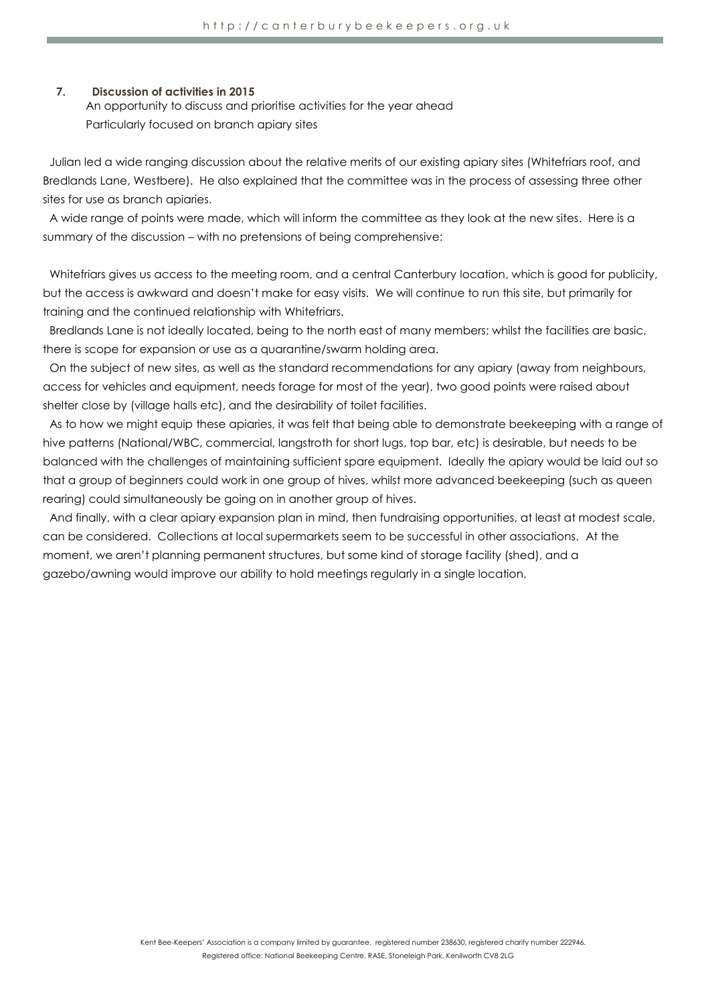#### **7. Discussion of activities in 2015**

An opportunity to discuss and prioritise activities for the year ahead Particularly focused on branch apiary sites

Julian led a wide ranging discussion about the relative merits of our existing apiary sites (Whitefriars roof, and Bredlands Lane, Westbere). He also explained that the committee was in the process of assessing three other sites for use as branch apiaries.

A wide range of points were made, which will inform the committee as they look at the new sites. Here is a summary of the discussion – with no pretensions of being comprehensive:

Whitefriars gives us access to the meeting room, and a central Canterbury location, which is good for publicity, but the access is awkward and doesn't make for easy visits. We will continue to run this site, but primarily for training and the continued relationship with Whitefriars.

Bredlands Lane is not ideally located, being to the north east of many members; whilst the facilities are basic, there is scope for expansion or use as a quarantine/swarm holding area.

On the subject of new sites, as well as the standard recommendations for any apiary (away from neighbours, access for vehicles and equipment, needs forage for most of the year), two good points were raised about shelter close by (village halls etc), and the desirability of toilet facilities.

As to how we might equip these apiaries, it was felt that being able to demonstrate beekeeping with a range of hive patterns (National/WBC, commercial, langstroth for short lugs, top bar, etc) is desirable, but needs to be balanced with the challenges of maintaining sufficient spare equipment. Ideally the apiary would be laid out so that a group of beginners could work in one group of hives, whilst more advanced beekeeping (such as queen rearing) could simultaneously be going on in another group of hives.

And finally, with a clear apiary expansion plan in mind, then fundraising opportunities, at least at modest scale, can be considered. Collections at local supermarkets seem to be successful in other associations. At the moment, we aren't planning permanent structures, but some kind of storage facility (shed), and a gazebo/awning would improve our ability to hold meetings regularly in a single location.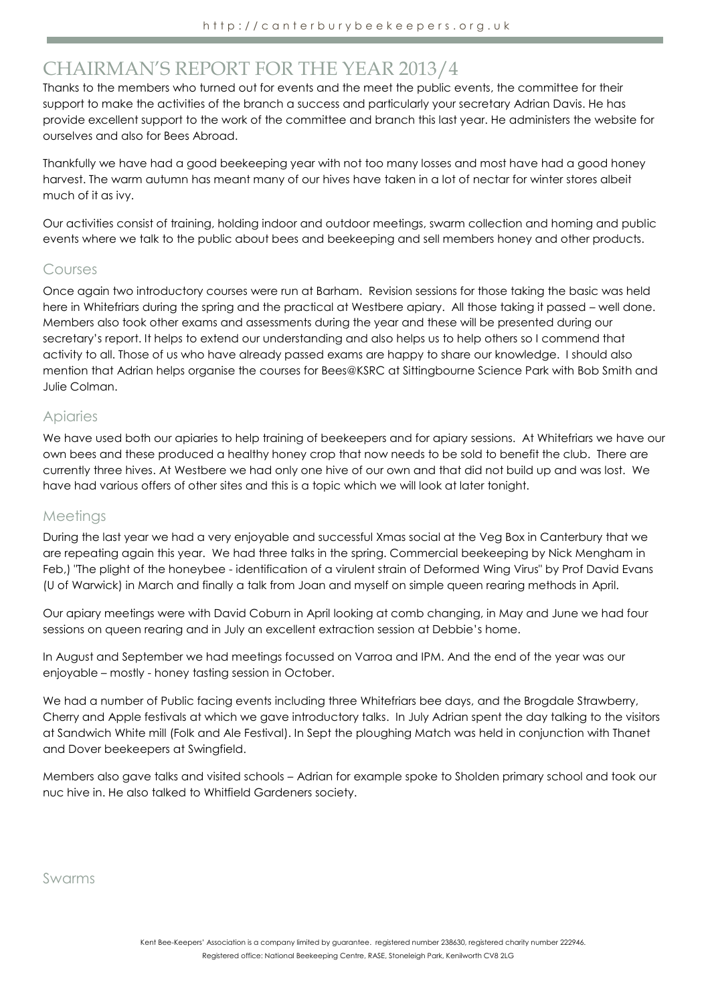## CHAIRMAN'S REPORT FOR THE YEAR 2013/4

Thanks to the members who turned out for events and the meet the public events, the committee for their support to make the activities of the branch a success and particularly your secretary Adrian Davis. He has provide excellent support to the work of the committee and branch this last year. He administers the website for ourselves and also for Bees Abroad.

Thankfully we have had a good beekeeping year with not too many losses and most have had a good honey harvest. The warm autumn has meant many of our hives have taken in a lot of nectar for winter stores albeit much of it as ivy.

Our activities consist of training, holding indoor and outdoor meetings, swarm collection and homing and public events where we talk to the public about bees and beekeeping and sell members honey and other products.

## Courses

Once again two introductory courses were run at Barham. Revision sessions for those taking the basic was held here in Whitefriars during the spring and the practical at Westbere apiary. All those taking it passed – well done. Members also took other exams and assessments during the year and these will be presented during our secretary's report. It helps to extend our understanding and also helps us to help others so I commend that activity to all. Those of us who have already passed exams are happy to share our knowledge. I should also mention that Adrian helps organise the courses for Bees@KSRC at Sittingbourne Science Park with Bob Smith and Julie Colman.

## Apiaries

We have used both our apiaries to help training of beekeepers and for apiary sessions. At Whitefriars we have our own bees and these produced a healthy honey crop that now needs to be sold to benefit the club. There are currently three hives. At Westbere we had only one hive of our own and that did not build up and was lost. We have had various offers of other sites and this is a topic which we will look at later tonight.

## Meetings

During the last year we had a very enjoyable and successful Xmas social at the Veg Box in Canterbury that we are repeating again this year. We had three talks in the spring. Commercial beekeeping by Nick Mengham in Feb,) "The plight of the honeybee - identification of a virulent strain of Deformed Wing Virus" by Prof David Evans (U of Warwick) in March and finally a talk from Joan and myself on simple queen rearing methods in April.

Our apiary meetings were with David Coburn in April looking at comb changing, in May and June we had four sessions on queen rearing and in July an excellent extraction session at Debbie's home.

In August and September we had meetings focussed on Varroa and IPM. And the end of the year was our enjoyable – mostly - honey tasting session in October.

We had a number of Public facing events including three Whitefriars bee days, and the Broadale Strawberry, Cherry and Apple festivals at which we gave introductory talks. In July Adrian spent the day talking to the visitors at Sandwich White mill (Folk and Ale Festival). In Sept the ploughing Match was held in conjunction with Thanet and Dover beekeepers at Swingfield.

Members also gave talks and visited schools – Adrian for example spoke to Sholden primary school and took our nuc hive in. He also talked to Whitfield Gardeners society.

Swarms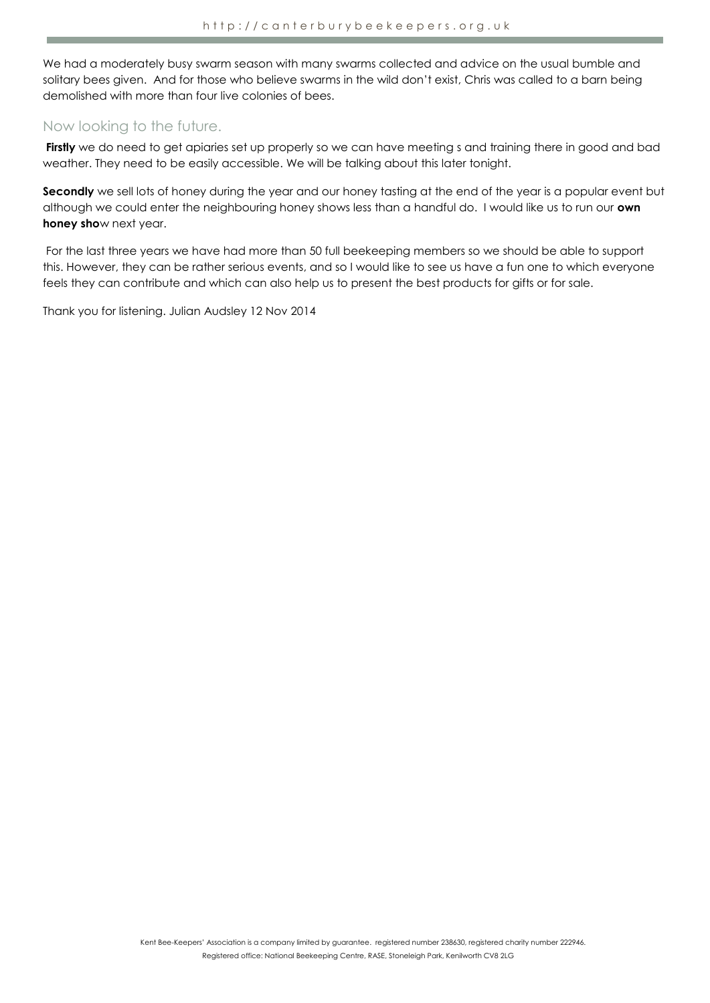We had a moderately busy swarm season with many swarms collected and advice on the usual bumble and solitary bees given. And for those who believe swarms in the wild don't exist, Chris was called to a barn being demolished with more than four live colonies of bees.

## Now looking to the future.

Firstly we do need to get apiaries set up properly so we can have meeting s and training there in good and bad weather. They need to be easily accessible. We will be talking about this later tonight.

**Secondly** we sell lots of honey during the year and our honey tasting at the end of the year is a popular event but although we could enter the neighbouring honey shows less than a handful do. I would like us to run our **own honey sho**w next year.

For the last three years we have had more than 50 full beekeeping members so we should be able to support this. However, they can be rather serious events, and so I would like to see us have a fun one to which everyone feels they can contribute and which can also help us to present the best products for gifts or for sale.

Thank you for listening. Julian Audsley 12 Nov 2014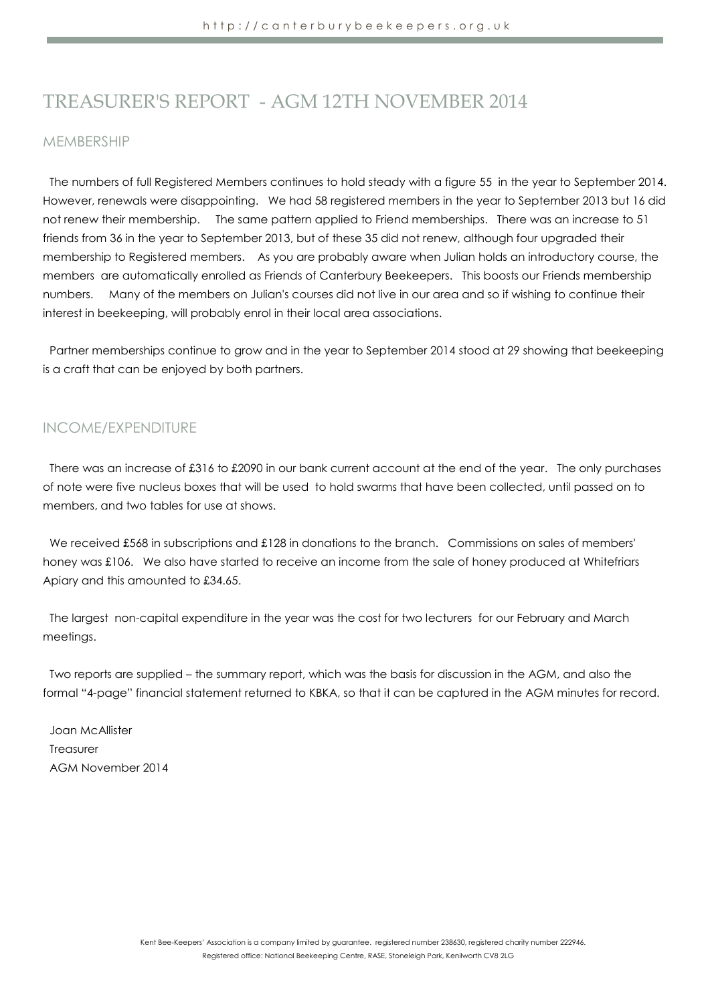## TREASURER'S REPORT - AGM 12TH NOVEMBER 2014

## MEMBERSHIP

The numbers of full Registered Members continues to hold steady with a figure 55 in the year to September 2014. However, renewals were disappointing. We had 58 registered members in the year to September 2013 but 16 did not renew their membership. The same pattern applied to Friend memberships. There was an increase to 51 friends from 36 in the year to September 2013, but of these 35 did not renew, although four upgraded their membership to Registered members. As you are probably aware when Julian holds an introductory course, the members are automatically enrolled as Friends of Canterbury Beekeepers. This boosts our Friends membership numbers. Many of the members on Julian's courses did not live in our area and so if wishing to continue their interest in beekeeping, will probably enrol in their local area associations.

Partner memberships continue to grow and in the year to September 2014 stood at 29 showing that beekeeping is a craft that can be enjoyed by both partners.

## INCOME/EXPENDITURE

There was an increase of £316 to £2090 in our bank current account at the end of the year. The only purchases of note were five nucleus boxes that will be used to hold swarms that have been collected, until passed on to members, and two tables for use at shows.

We received £568 in subscriptions and £128 in donations to the branch. Commissions on sales of members' honey was £106. We also have started to receive an income from the sale of honey produced at Whitefriars Apiary and this amounted to £34.65.

The largest non-capital expenditure in the year was the cost for two lecturers for our February and March meetings.

Two reports are supplied – the summary report, which was the basis for discussion in the AGM, and also the formal "4-page" financial statement returned to KBKA, so that it can be captured in the AGM minutes for record.

Joan McAllister Treasurer AGM November 2014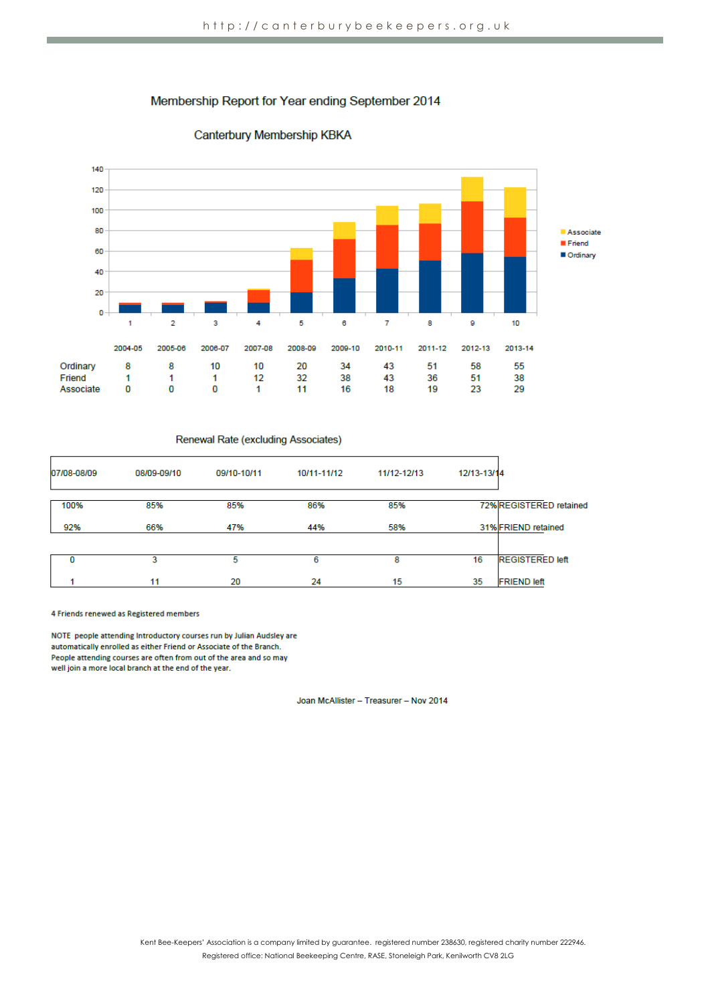## Membership Report for Year ending September 2014



## Canterbury Membership KBKA

#### Renewal Rate (excluding Associates)

| 07/08-08/09 | 08/09-09/10 | 09/10-10/11 | 10/11-11/12 | 11/12-12/13 | 12/13-13/14 |                         |
|-------------|-------------|-------------|-------------|-------------|-------------|-------------------------|
| 100%        | 85%         | 85%         | 86%         | 85%         |             | 72% REGISTERED retained |
| 92%         | 66%         | 47%         | 44%         | 58%         |             | 31% FRIEND retained     |
| o           | 3           | 5           | 6           | 8           | 16          | <b>REGISTERED left</b>  |
|             | 11          | 20          | 24          | 15          | 35          | <b>FRIEND left</b>      |

4 Friends renewed as Registered members

NOTE people attending Introductory courses run by Julian Audsley are automatically enrolled as either Friend or Associate of the Branch. People attending courses are often from out of the area and so may well join a more local branch at the end of the year.

Joan McAllister - Treasurer - Nov 2014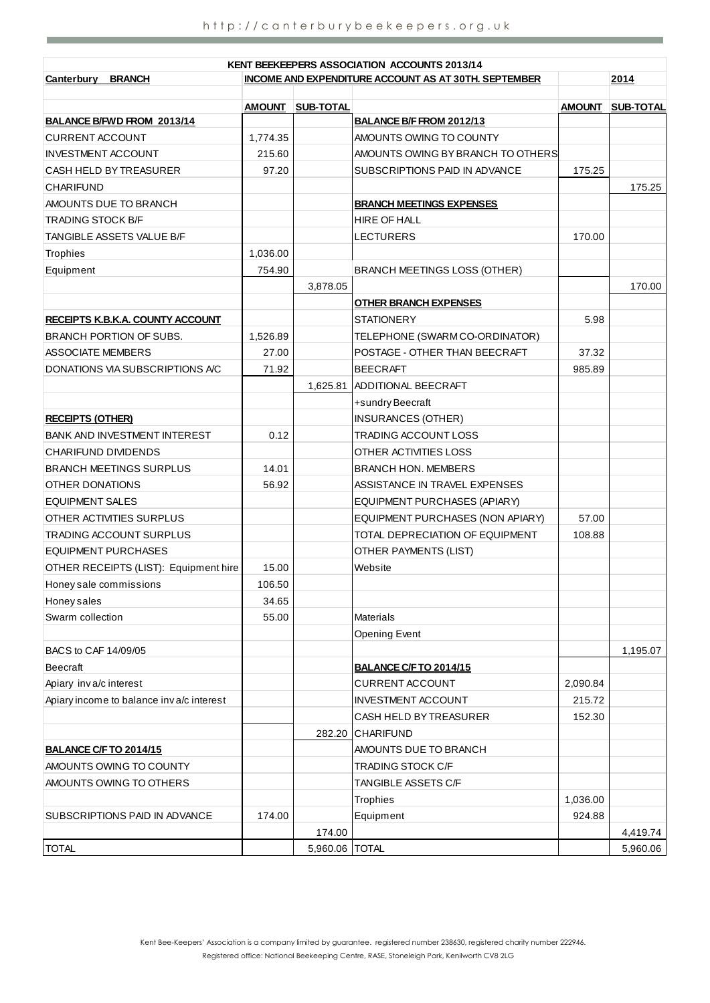**Contract Contract Contract Contract** 

|                                          |                                                                     |                  | KENT BEEKEEPERS ASSOCIATION ACCOUNTS 2013/14 |               |                  |  |  |
|------------------------------------------|---------------------------------------------------------------------|------------------|----------------------------------------------|---------------|------------------|--|--|
| <b>BRANCH</b><br><u>Canterbury</u>       | <b>INCOME AND EXPENDITURE ACCOUNT AS AT 30TH. SEPTEMBER</b><br>2014 |                  |                                              |               |                  |  |  |
|                                          | <b>AMOUNT</b>                                                       | <b>SUB-TOTAL</b> |                                              | <b>AMOUNT</b> | <b>SUB-TOTAL</b> |  |  |
| BALANCE B/FWD FROM 2013/14               |                                                                     |                  | BALANCE B/F FROM 2012/13                     |               |                  |  |  |
| <b>CURRENT ACCOUNT</b>                   | 1,774.35                                                            |                  | <b>AMOUNTS OWING TO COUNTY</b>               |               |                  |  |  |
| <b>INVESTMENT ACCOUNT</b>                | 215.60                                                              |                  | AMOUNTS OWING BY BRANCH TO OTHERS            |               |                  |  |  |
| CASH HELD BY TREASURER                   | 97.20                                                               |                  | SUBSCRIPTIONS PAID IN ADVANCE                | 175.25        |                  |  |  |
| <b>CHARIFUND</b>                         |                                                                     |                  |                                              |               | 175.25           |  |  |
| AMOUNTS DUE TO BRANCH                    |                                                                     |                  | <b>BRANCH MEETINGS EXPENSES</b>              |               |                  |  |  |
| <b>TRADING STOCK B/F</b>                 |                                                                     |                  | <b>HIRE OF HALL</b>                          |               |                  |  |  |
| TANGIBLE ASSETS VALUE B/F                |                                                                     |                  | <b>LECTURERS</b>                             | 170.00        |                  |  |  |
| <b>Trophies</b>                          | 1,036.00                                                            |                  |                                              |               |                  |  |  |
| Equipment                                | 754.90                                                              |                  | <b>BRANCH MEETINGS LOSS (OTHER)</b>          |               |                  |  |  |
|                                          |                                                                     | 3,878.05         |                                              |               | 170.00           |  |  |
|                                          |                                                                     |                  | <b>OTHER BRANCH EXPENSES</b>                 |               |                  |  |  |
| RECEIPTS K.B.K.A. COUNTY ACCOUNT         |                                                                     |                  | <b>STATIONERY</b>                            | 5.98          |                  |  |  |
| BRANCH PORTION OF SUBS.                  | 1.526.89                                                            |                  | TELEPHONE (SWARM CO-ORDINATOR)               |               |                  |  |  |
| ASSOCIATE MEMBERS                        | 27.00                                                               |                  | POSTAGE - OTHER THAN BEECRAFT                | 37.32         |                  |  |  |
| DONATIONS VIA SUBSCRIPTIONS A/C          | 71.92                                                               |                  | <b>BEECRAFT</b>                              | 985.89        |                  |  |  |
|                                          |                                                                     | 1,625.81         | ADDITIONAL BEECRAFT                          |               |                  |  |  |
|                                          |                                                                     |                  | +sundry Beecraft                             |               |                  |  |  |
| <b>RECEIPTS (OTHER)</b>                  |                                                                     |                  | INSURANCES (OTHER)                           |               |                  |  |  |
| <b>BANK AND INVESTMENT INTEREST</b>      | 0.12                                                                |                  | TRADING ACCOUNT LOSS                         |               |                  |  |  |
| <b>CHARIFUND DIVIDENDS</b>               |                                                                     |                  | OTHER ACTIVITIES LOSS                        |               |                  |  |  |
| <b>BRANCH MEETINGS SURPLUS</b>           | 14.01                                                               |                  | <b>BRANCH HON. MEMBERS</b>                   |               |                  |  |  |
| OTHER DONATIONS                          | 56.92                                                               |                  | ASSISTANCE IN TRAVEL EXPENSES                |               |                  |  |  |
| <b>EQUIPMENT SALES</b>                   |                                                                     |                  | EQUIPMENT PURCHASES (APIARY)                 |               |                  |  |  |
| OTHER ACTIVITIES SURPLUS                 |                                                                     |                  | EQUIPMENT PURCHASES (NON APIARY)             | 57.00         |                  |  |  |
| TRADING ACCOUNT SURPLUS                  |                                                                     |                  | TOTAL DEPRECIATION OF EQUIPMENT              | 108.88        |                  |  |  |
| EQUIPMENT PURCHASES                      |                                                                     |                  | OTHER PAYMENTS (LIST)                        |               |                  |  |  |
| OTHER RECEIPTS (LIST): Equipment hire    | 15.00                                                               |                  | Website                                      |               |                  |  |  |
| Honey sale commissions                   | 106.50                                                              |                  |                                              |               |                  |  |  |
| <b>Honey sales</b>                       | 34.65                                                               |                  |                                              |               |                  |  |  |
| Swarm collection                         | 55.00                                                               |                  | Materials                                    |               |                  |  |  |
|                                          |                                                                     |                  | <b>Opening Event</b>                         |               |                  |  |  |
| BACS to CAF 14/09/05                     |                                                                     |                  |                                              |               | 1,195.07         |  |  |
| <b>Beecraft</b>                          |                                                                     |                  | <b>BALANCE C/F TO 2014/15</b>                |               |                  |  |  |
| Apiary inva/c interest                   |                                                                     |                  | <b>CURRENT ACCOUNT</b>                       | 2,090.84      |                  |  |  |
| Apiary income to balance inva/c interest |                                                                     |                  | <b>INVESTMENT ACCOUNT</b>                    | 215.72        |                  |  |  |
|                                          |                                                                     |                  | CASH HELD BY TREASURER                       | 152.30        |                  |  |  |
|                                          |                                                                     |                  | 282.20 CHARIFUND                             |               |                  |  |  |
| <b>BALANCE C/F TO 2014/15</b>            |                                                                     |                  | AMOUNTS DUE TO BRANCH                        |               |                  |  |  |
| AMOUNTS OWING TO COUNTY                  |                                                                     |                  | TRADING STOCK C/F                            |               |                  |  |  |
| AMOUNTS OWING TO OTHERS                  |                                                                     |                  | TANGIBLE ASSETS C/F                          |               |                  |  |  |
|                                          |                                                                     |                  | Trophies                                     | 1,036.00      |                  |  |  |
| SUBSCRIPTIONS PAID IN ADVANCE            | 174.00                                                              |                  | Equipment                                    | 924.88        |                  |  |  |
|                                          |                                                                     | 174.00           |                                              |               | 4,419.74         |  |  |
| <b>TOTAL</b>                             |                                                                     | 5,960.06   TOTAL |                                              |               | 5,960.06         |  |  |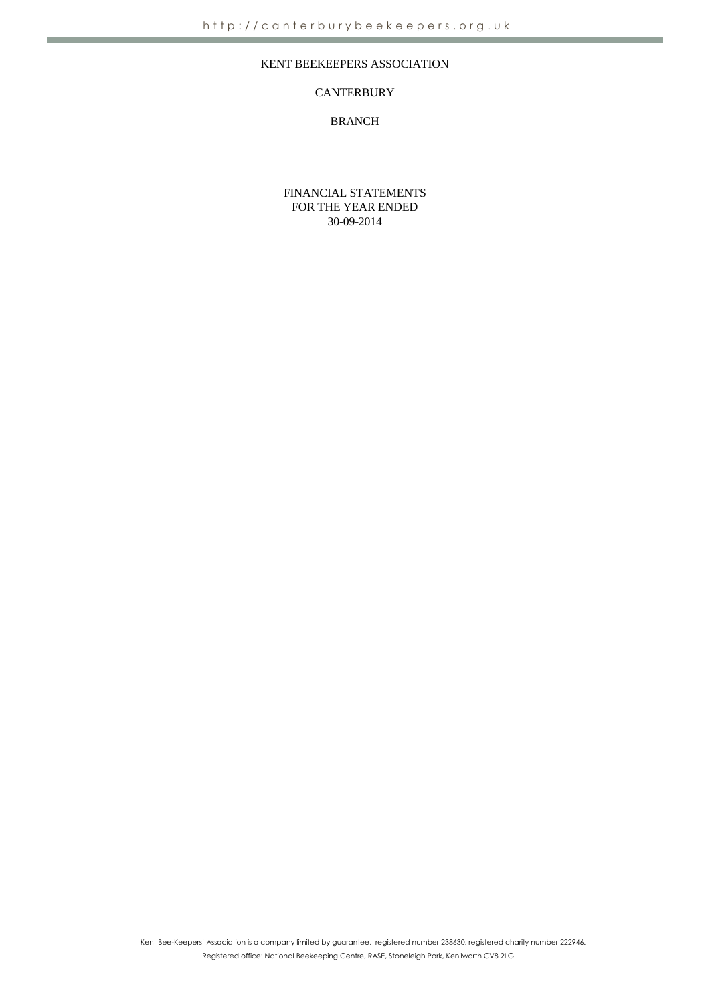## KENT BEEKEEPERS ASSOCIATION

## **CANTERBURY**

## BRANCH

FINANCIAL STATEMENTS FOR THE YEAR ENDED 30-09-2014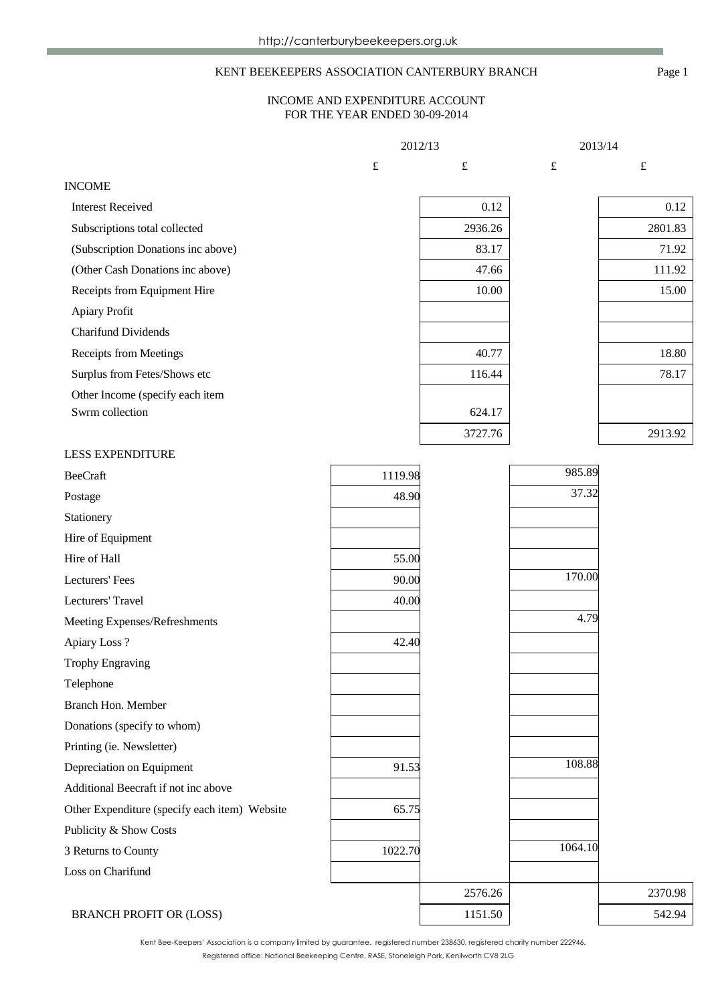## KENT BEEKEEPERS ASSOCIATION CANTERBURY BRANCH Page 1

### INCOME AND EXPENDITURE ACCOUNT FOR THE YEAR ENDED 30-09-2014

|                                               | 2012/13   |           | 2013/14   |           |
|-----------------------------------------------|-----------|-----------|-----------|-----------|
|                                               | $\pounds$ | $\pounds$ | $\pounds$ | $\pounds$ |
| <b>INCOME</b>                                 |           |           |           |           |
| <b>Interest Received</b>                      |           | 0.12      |           | 0.12      |
| Subscriptions total collected                 |           | 2936.26   |           | 2801.83   |
| (Subscription Donations inc above)            |           | 83.17     |           | 71.92     |
| (Other Cash Donations inc above)              |           | 47.66     |           | 111.92    |
| Receipts from Equipment Hire                  |           | 10.00     |           | 15.00     |
| Apiary Profit                                 |           |           |           |           |
| <b>Charifund Dividends</b>                    |           |           |           |           |
| Receipts from Meetings                        |           | 40.77     |           | 18.80     |
| Surplus from Fetes/Shows etc                  |           | 116.44    |           | 78.17     |
| Other Income (specify each item               |           |           |           |           |
| Swrm collection                               |           | 624.17    |           |           |
|                                               |           | 3727.76   |           | 2913.92   |
| <b>LESS EXPENDITURE</b>                       |           |           |           |           |
| <b>BeeCraft</b>                               | 1119.98   |           | 985.89    |           |
| Postage                                       | 48.90     |           | 37.32     |           |
| Stationery                                    |           |           |           |           |
| Hire of Equipment                             |           |           |           |           |
| Hire of Hall                                  | 55.00     |           |           |           |
| Lecturers' Fees                               | 90.00     |           | 170.00    |           |
| Lecturers' Travel                             | 40.00     |           |           |           |
| Meeting Expenses/Refreshments                 |           |           | 4.79      |           |
| Apiary Loss?                                  | 42.40     |           |           |           |
| <b>Trophy Engraving</b>                       |           |           |           |           |
| Telephone                                     |           |           |           |           |
| Branch Hon. Member                            |           |           |           |           |
| Donations (specify to whom)                   |           |           |           |           |
| Printing (ie. Newsletter)                     |           |           |           |           |
| Depreciation on Equipment                     | 91.53     |           | 108.88    |           |
| Additional Beecraft if not inc above          |           |           |           |           |
| Other Expenditure (specify each item) Website | 65.75     |           |           |           |
| Publicity & Show Costs                        |           |           |           |           |
| 3 Returns to County                           | 1022.70   |           | 1064.10   |           |
| Loss on Charifund                             |           |           |           |           |
|                                               |           | 2576.26   |           | 2370.98   |
| <b>BRANCH PROFIT OR (LOSS)</b>                |           | 1151.50   |           | 542.94    |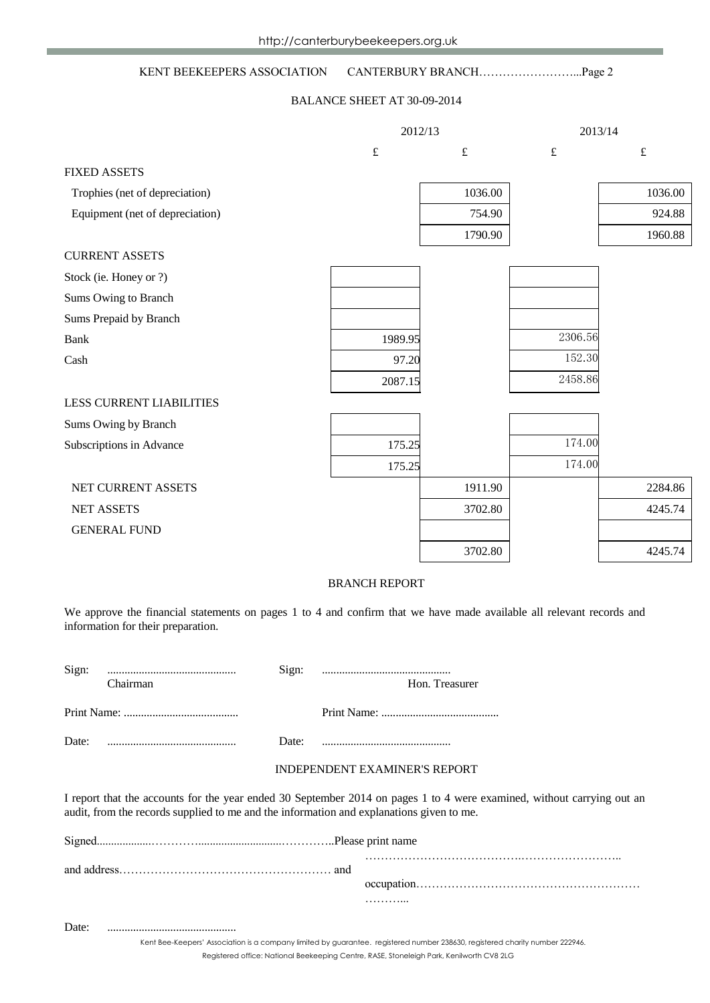## KENT BEEKEEPERS ASSOCIATION CANTERBURY BRANCH……………………...Page 2

#### BALANCE SHEET AT 30-09-2014

|                                 | 2012/13   |           | 2013/14   |           |
|---------------------------------|-----------|-----------|-----------|-----------|
|                                 | $\pounds$ | $\pounds$ | $\pounds$ | $\pounds$ |
| <b>FIXED ASSETS</b>             |           |           |           |           |
| Trophies (net of depreciation)  |           | 1036.00   |           | 1036.00   |
| Equipment (net of depreciation) |           | 754.90    |           | 924.88    |
|                                 |           | 1790.90   |           | 1960.88   |
| <b>CURRENT ASSETS</b>           |           |           |           |           |
| Stock (ie. Honey or ?)          |           |           |           |           |
| Sums Owing to Branch            |           |           |           |           |
| Sums Prepaid by Branch          |           |           |           |           |
| <b>Bank</b>                     | 1989.95   |           | 2306.56   |           |
| Cash                            | 97.20     |           | 152.30    |           |
|                                 | 2087.15   |           | 2458.86   |           |
| <b>LESS CURRENT LIABILITIES</b> |           |           |           |           |
| Sums Owing by Branch            |           |           |           |           |
| Subscriptions in Advance        | 175.25    |           | 174.00    |           |
|                                 | 175.25    |           | 174.00    |           |
| NET CURRENT ASSETS              |           | 1911.90   |           | 2284.86   |
| <b>NET ASSETS</b>               |           | 3702.80   |           | 4245.74   |
| <b>GENERAL FUND</b>             |           |           |           |           |
|                                 |           | 3702.80   |           | 4245.74   |

#### BRANCH REPORT

We approve the financial statements on pages 1 to 4 and confirm that we have made available all relevant records and information for their preparation.

| Sign: | Chairman                                                                       | Sign: | Hon. Treasurer |
|-------|--------------------------------------------------------------------------------|-------|----------------|
|       |                                                                                |       |                |
| Date: | $\ldots \ldots \ldots \ldots \ldots \ldots \ldots \ldots \ldots \ldots \ldots$ | Date: |                |

#### INDEPENDENT EXAMINER'S REPORT

I report that the accounts for the year ended 30 September 2014 on pages 1 to 4 were examined, without carrying out an audit, from the records supplied to me and the information and explanations given to me.

|  | . |  |  |  |  |
|--|---|--|--|--|--|
|  |   |  |  |  |  |

Date: .............................................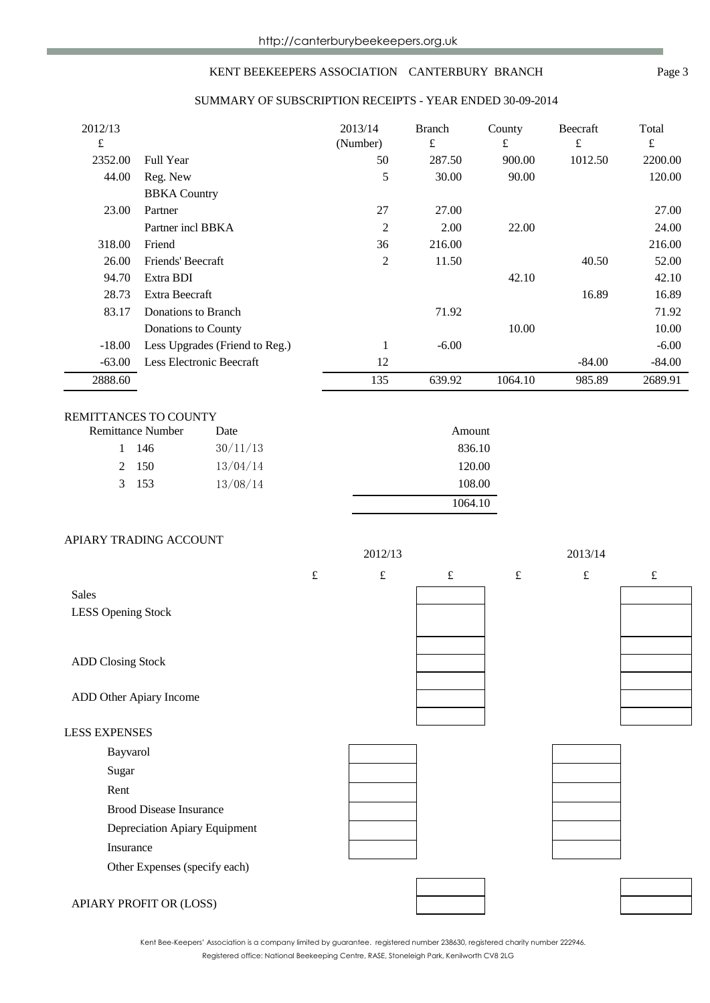## KENT BEEKEEPERS ASSOCIATION CANTERBURY BRANCH Page 3

### SUMMARY OF SUBSCRIPTION RECEIPTS - YEAR ENDED 30-09-2014

| 2012/13  |                                | 2013/14  | <b>Branch</b> | County  | Beecraft | Total     |
|----------|--------------------------------|----------|---------------|---------|----------|-----------|
| £        |                                | (Number) | £             | £       | £        | $\pounds$ |
| 2352.00  | <b>Full Year</b>               | 50       | 287.50        | 900.00  | 1012.50  | 2200.00   |
| 44.00    | Reg. New                       | 5        | 30.00         | 90.00   |          | 120.00    |
|          | <b>BBKA</b> Country            |          |               |         |          |           |
| 23.00    | Partner                        | 27       | 27.00         |         |          | 27.00     |
|          | Partner incl BBKA              | 2        | 2.00          | 22.00   |          | 24.00     |
| 318.00   | Friend                         | 36       | 216.00        |         |          | 216.00    |
| 26.00    | Friends' Beecraft              | 2        | 11.50         |         | 40.50    | 52.00     |
| 94.70    | Extra BDI                      |          |               | 42.10   |          | 42.10     |
| 28.73    | Extra Beecraft                 |          |               |         | 16.89    | 16.89     |
| 83.17    | Donations to Branch            |          | 71.92         |         |          | 71.92     |
|          | Donations to County            |          |               | 10.00   |          | 10.00     |
| $-18.00$ | Less Upgrades (Friend to Reg.) |          | $-6.00$       |         |          | $-6.00$   |
| $-63.00$ | Less Electronic Beecraft       | 12       |               |         | $-84.00$ | $-84.00$  |
| 2888.60  |                                | 135      | 639.92        | 1064.10 | 985.89   | 2689.91   |

## REMITTANCES TO COUNTY

| Remittance Number | Date     | Amount  |
|-------------------|----------|---------|
| 1 146             | 30/11/13 | 836.10  |
| 2 150             | 13/04/14 | 120.00  |
| 3 153             | 13/08/14 | 108.00  |
|                   |          | 1064.10 |

### APIARY TRADING ACCOUNT

|                                |           | 2012/13   |           |           | 2013/14   |           |
|--------------------------------|-----------|-----------|-----------|-----------|-----------|-----------|
|                                | $\pounds$ | $\pounds$ | $\pounds$ | $\pounds$ | $\pounds$ | $\pounds$ |
| Sales                          |           |           |           |           |           |           |
| <b>LESS Opening Stock</b>      |           |           |           |           |           |           |
|                                |           |           |           |           |           |           |
| <b>ADD Closing Stock</b>       |           |           |           |           |           |           |
|                                |           |           |           |           |           |           |
| ADD Other Apiary Income        |           |           |           |           |           |           |
|                                |           |           |           |           |           |           |
| <b>LESS EXPENSES</b>           |           |           |           |           |           |           |
| Bayvarol                       |           |           |           |           |           |           |
| Sugar                          |           |           |           |           |           |           |
| Rent                           |           |           |           |           |           |           |
| <b>Brood Disease Insurance</b> |           |           |           |           |           |           |
| Depreciation Apiary Equipment  |           |           |           |           |           |           |
| Insurance                      |           |           |           |           |           |           |
| Other Expenses (specify each)  |           |           |           |           |           |           |
|                                |           |           |           |           |           |           |
| APIARY PROFIT OR (LOSS)        |           |           |           |           |           |           |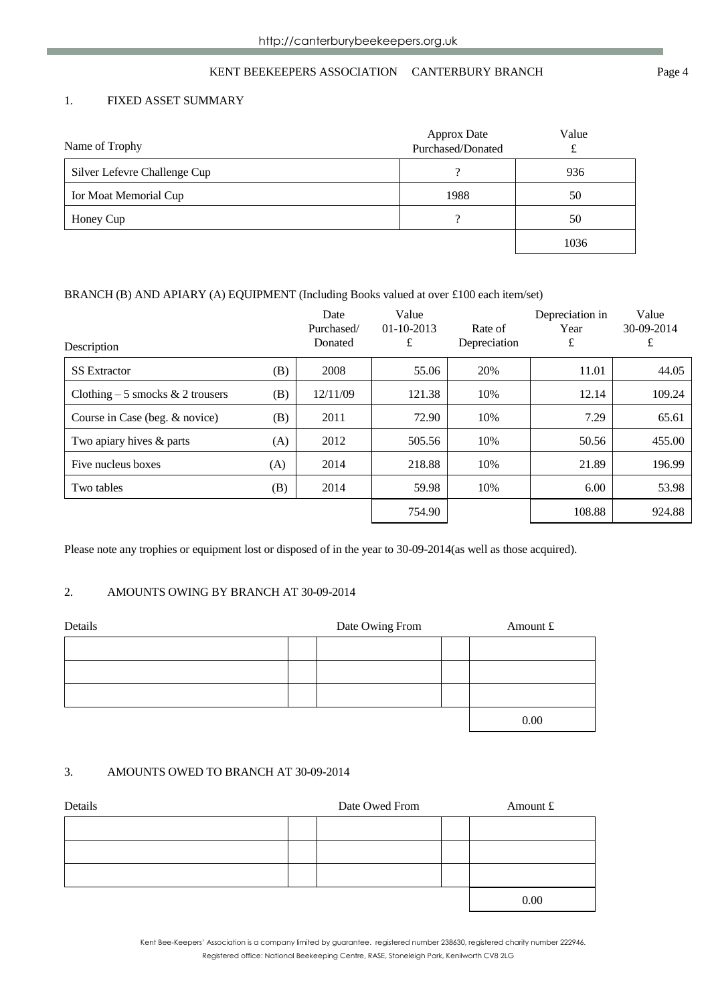## KENT BEEKEEPERS ASSOCIATION CANTERBURY BRANCH Page 4

## 1. FIXED ASSET SUMMARY

| Name of Trophy               | <b>Approx Date</b><br>Purchased/Donated | Value |
|------------------------------|-----------------------------------------|-------|
| Silver Lefevre Challenge Cup |                                         | 936   |
| Ior Moat Memorial Cup        | 1988                                    | 50    |
| Honey Cup                    |                                         | 50    |
|                              |                                         | 1036  |

### BRANCH (B) AND APIARY (A) EQUIPMENT (Including Books valued at over £100 each item/set)

| Description                       |     | Date<br>Purchased/<br>Donated | Value<br>$01-10-2013$<br>£ | Rate of<br>Depreciation | Depreciation in<br>Year<br>£ | Value<br>30-09-2014<br>£ |
|-----------------------------------|-----|-------------------------------|----------------------------|-------------------------|------------------------------|--------------------------|
| <b>SS</b> Extractor               | (B) | 2008                          | 55.06                      | 20%                     | 11.01                        | 44.05                    |
| Clothing $-5$ smocks & 2 trousers | (B) | 12/11/09                      | 121.38                     | 10%                     | 12.14                        | 109.24                   |
| Course in Case (beg. & novice)    | (B) | 2011                          | 72.90                      | 10%                     | 7.29                         | 65.61                    |
| Two apiary hives & parts          | (A) | 2012                          | 505.56                     | 10%                     | 50.56                        | 455.00                   |
| Five nucleus boxes                | (A) | 2014                          | 218.88                     | 10%                     | 21.89                        | 196.99                   |
| Two tables                        | (B) | 2014                          | 59.98                      | 10%                     | 6.00                         | 53.98                    |
|                                   |     |                               | 754.90                     |                         | 108.88                       | 924.88                   |

Please note any trophies or equipment lost or disposed of in the year to 30-09-2014(as well as those acquired).

## 2. AMOUNTS OWING BY BRANCH AT 30-09-2014

| Details | Date Owing From | Amount £ |      |
|---------|-----------------|----------|------|
|         |                 |          |      |
|         |                 |          |      |
|         |                 |          |      |
|         |                 |          | 0.00 |

#### 3. AMOUNTS OWED TO BRANCH AT 30-09-2014

| Details | Date Owed From | Amount £ |
|---------|----------------|----------|
|         |                |          |
|         |                |          |
|         |                |          |
|         |                | 0.00     |